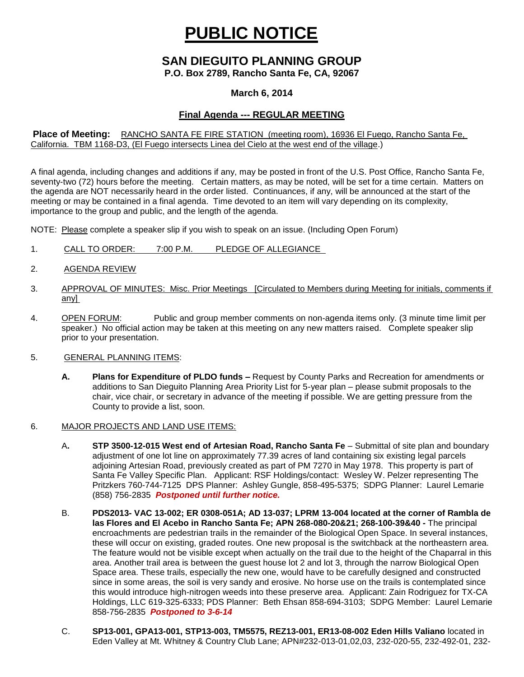# **PUBLIC NOTICE**

## **SAN DIEGUITO PLANNING GROUP**

**P.O. Box 2789, Rancho Santa Fe, CA, 92067**

#### **March 6, 2014**

### **Final Agenda --- REGULAR MEETING**

#### **Place of Meeting:** RANCHO SANTA FE FIRE STATION (meeting room), 16936 El Fuego, Rancho Santa Fe, California. TBM 1168-D3, (El Fuego intersects Linea del Cielo at the west end of the village.)

A final agenda, including changes and additions if any, may be posted in front of the U.S. Post Office, Rancho Santa Fe, seventy-two (72) hours before the meeting. Certain matters, as may be noted, will be set for a time certain. Matters on the agenda are NOT necessarily heard in the order listed. Continuances, if any, will be announced at the start of the meeting or may be contained in a final agenda. Time devoted to an item will vary depending on its complexity, importance to the group and public, and the length of the agenda.

NOTE: Please complete a speaker slip if you wish to speak on an issue. (Including Open Forum)

- 1. CALL TO ORDER: 7:00 P.M. PLEDGE OF ALLEGIANCE
- 2. AGENDA REVIEW
- 3. APPROVAL OF MINUTES: Misc. Prior Meetings [Circulated to Members during Meeting for initials, comments if any]
- 4. OPEN FORUM: Public and group member comments on non-agenda items only. (3 minute time limit per speaker.) No official action may be taken at this meeting on any new matters raised. Complete speaker slip prior to your presentation.
- 5. GENERAL PLANNING ITEMS:
	- **A. Plans for Expenditure of PLDO funds –** Request by County Parks and Recreation for amendments or additions to San Dieguito Planning Area Priority List for 5-year plan – please submit proposals to the chair, vice chair, or secretary in advance of the meeting if possible. We are getting pressure from the County to provide a list, soon.
- 6. MAJOR PROJECTS AND LAND USE ITEMS:
	- A**. STP 3500-12-015 West end of Artesian Road, Rancho Santa Fe** Submittal of site plan and boundary adjustment of one lot line on approximately 77.39 acres of land containing six existing legal parcels adjoining Artesian Road, previously created as part of PM 7270 in May 1978. This property is part of Santa Fe Valley Specific Plan.Applicant: RSF Holdings/contact: Wesley W. Pelzer representing The Pritzkers 760-744-7125 DPS Planner: Ashley Gungle, 858-495-5375; SDPG Planner: Laurel Lemarie (858) 756-2835 *Postponed until further notice.*
	- B. **PDS2013- VAC 13-002; ER 0308-051A; AD 13-037; LPRM 13-004 located at the corner of Rambla de las Flores and El Acebo in Rancho Santa Fe; APN 268-080-20&21; 268-100-39&40 -** The principal encroachments are pedestrian trails in the remainder of the Biological Open Space. In several instances, these will occur on existing, graded routes. One new proposal is the switchback at the northeastern area. The feature would not be visible except when actually on the trail due to the height of the Chaparral in this area. Another trail area is between the guest house lot 2 and lot 3, through the narrow Biological Open Space area. These trails, especially the new one, would have to be carefully designed and constructed since in some areas, the soil is very sandy and erosive. No horse use on the trails is contemplated since this would introduce high-nitrogen weeds into these preserve area. Applicant: Zain Rodriguez for TX-CA Holdings, LLC 619-325-6333; PDS Planner: Beth Ehsan 858-694-3103; SDPG Member: Laurel Lemarie 858-756-2835 *Postponed to 3-6-14*
	- C. **SP13-001, GPA13-001, STP13-003, TM5575, REZ13-001, ER13-08-002 Eden Hills Valiano** located in Eden Valley at Mt. Whitney & Country Club Lane; APN#232-013-01,02,03, 232-020-55, 232-492-01, 232-